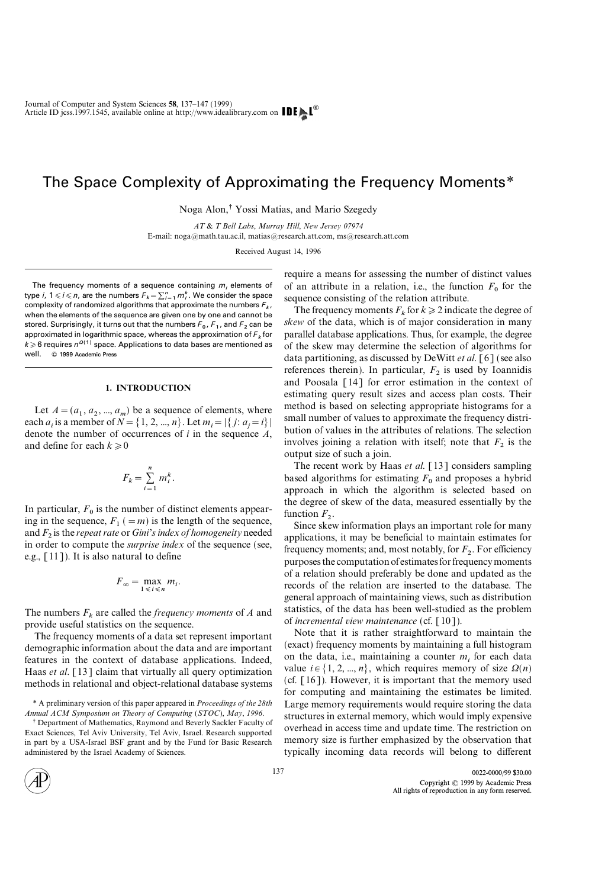# The Space Complexity of Approximating the Frequency Moments\*

Noga Alon,<sup>†</sup> Yossi Matias, and Mario Szegedy

AT & T Bell Labs, Murray Hill, New Jersey 07974 E-mail: noga@math.tau.ac.il, matias@research.att.com, ms@research.att.com

Received August 14, 1996

The frequency moments of a sequence containing  $m_i$  elements of type  $i$ ,  $1\!\leqslant\! i\!\leqslant\! n$ , are the numbers  $\mathcal{F}_{k}\!=\!\sum_{i=1}^{n}m_{i}^{k}.$  We consider the space complexity of randomized algorithms that approximate the numbers  $F_k$ , when the elements of the sequence are given one by one and cannot be stored. Surprisingly, it turns out that the numbers  $F_0$ ,  $F_1$ , and  $F_2$  can be approximated in logarithmic space, whereas the approximation of  $F_k$  for  $k \geqslant 6$  requires  $n^{Q(1)}$  space. Applications to data bases are mentioned as well.  $\circ$  1999 Academic Press

### 1. INTRODUCTION

Let  $A=(a_1, a_2, ..., a_m)$  be a sequence of elements, where each  $a_i$  is a member of  $N = \{1, 2, ..., n\}$ . Let  $m_i = |\{j : a_j = i\}|$ denote the number of occurrences of  $i$  in the sequence  $A$ , and define for each  $k\geqslant0$ 

$$
F_k = \sum_{i=1}^n m_i^k.
$$

In particular,  $F_0$  is the number of distinct elements appearing in the sequence,  $F_1 (=m)$  is the length of the sequence, and  $F<sub>2</sub>$  is the repeat rate or Gini's index of homogeneity needed in order to compute the surprise index of the sequence (see, e.g., [11]). It is also natural to define

$$
F_{\infty} = \max_{1 \le i \le n} m_i.
$$

The numbers  $F_k$  are called the *frequency moments* of A and provide useful statistics on the sequence.

The frequency moments of a data set represent important demographic information about the data and are important features in the context of database applications. Indeed, Haas *et al.* [13] claim that virtually all query optimization methods in relational and object-relational database systems

<sup>†</sup> Department of Mathematics, Raymond and Beverly Sackler Faculty of Exact Sciences, Tel Aviv University, Tel Aviv, Israel. Research supported in part by a USA-Israel BSF grant and by the Fund for Basic Research administered by the Israel Academy of Sciences.

require a means for assessing the number of distinct values of an attribute in a relation, i.e., the function  $F_0$  for the sequence consisting of the relation attribute.

The frequency moments  $F_k$  for  $k\geq 2$  indicate the degree of skew of the data, which is of major consideration in many parallel database applications. Thus, for example, the degree of the skew may determine the selection of algorithms for data partitioning, as discussed by DeWitt *et al.* [6] (see also references therein). In particular,  $F_2$  is used by Ioannidis and Poosala [14] for error estimation in the context of estimating query result sizes and access plan costs. Their method is based on selecting appropriate histograms for a small number of values to approximate the frequency distribution of values in the attributes of relations. The selection involves joining a relation with itself; note that  $F_2$  is the output size of such a join.

The recent work by Haas *et al.* [13] considers sampling based algorithms for estimating  $F_0$  and proposes a hybrid approach in which the algorithm is selected based on the degree of skew of the data, measured essentially by the function  $F_2$ .

Since skew information plays an important role for many applications, it may be beneficial to maintain estimates for frequency moments; and, most notably, for  $F_2$ . For efficiency purposes the computation of estimates for frequency moments of a relation should preferably be done and updated as the records of the relation are inserted to the database. The general approach of maintaining views, such as distribution statistics, of the data has been well-studied as the problem of incremental view maintenance (cf.  $[10]$ ).

Note that it is rather straightforward to maintain the (exact) frequency moments by maintaining a full histogram on the data, i.e., maintaining a counter  $m_i$  for each data value  $i \in \{1, 2, ..., n\}$ , which requires memory of size  $\Omega(n)$ (cf.  $[16]$ ). However, it is important that the memory used for computing and maintaining the estimates be limited. Large memory requirements would require storing the data structures in external memory, which would imply expensive overhead in access time and update time. The restriction on memory size is further emphasized by the observation that typically incoming data records will belong to different



<sup>\*</sup> A preliminary version of this paper appeared in Proceedings of the 28th Annual ACM Symposium on Theory of Computing (STOC), May, 1996.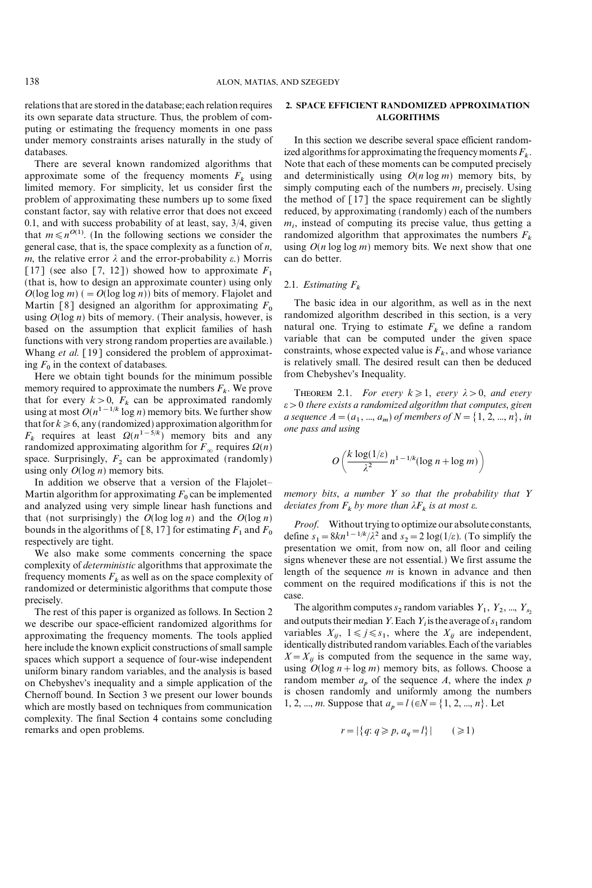relations that are stored in the database; each relation requires its own separate data structure. Thus, the problem of computing or estimating the frequency moments in one pass under memory constraints arises naturally in the study of databases.

There are several known randomized algorithms that approximate some of the frequency moments  $F_k$  using limited memory. For simplicity, let us consider first the problem of approximating these numbers up to some fixed constant factor, say with relative error that does not exceed 0.1, and with success probability of at least, say,  $3/4$ , given that  $m \le n^{O(1)}$ . (In the following sections we consider the general case, that is, the space complexity as a function of  $n$ , m, the relative error  $\lambda$  and the error-probability  $\varepsilon$ .) Morris [17] (see also [7, 12]) showed how to approximate  $F_1$ (that is, how to design an approximate counter) using only  $O(\log \log m)$  (=  $O(\log \log n)$ ) bits of memory. Flajolet and Martin [8] designed an algorithm for approximating  $F_0$ using  $O(\log n)$  bits of memory. (Their analysis, however, is based on the assumption that explicit families of hash functions with very strong random properties are available.) Whang et al. [19] considered the problem of approximating  $F_0$  in the context of databases.

Here we obtain tight bounds for the minimum possible memory required to approximate the numbers  $F_k$ . We prove that for every  $k>0$ ,  $F_k$  can be approximated randomly using at most  $O(n^{1-1/k} \log n)$  memory bits. We further show that for  $k \ge 6$ , any (randomized) approximation algorithm for  $F_k$  requires at least  $\Omega(n^{1-5/k})$  memory bits and any randomized approximating algorithm for  $F_{\infty}$  requires  $\Omega(n)$ space. Surprisingly,  $F_2$  can be approximated (randomly) using only  $O(\log n)$  memory bits.

In addition we observe that a version of the Flajolet Martin algorithm for approximating  $F_0$  can be implemented and analyzed using very simple linear hash functions and that (not surprisingly) the  $O(\log \log n)$  and the  $O(\log n)$ bounds in the algorithms of [8, 17] for estimating  $F_1$  and  $F_0$ respectively are tight.

We also make some comments concerning the space complexity of deterministic algorithms that approximate the frequency moments  $F_k$  as well as on the space complexity of randomized or deterministic algorithms that compute those precisely.

The rest of this paper is organized as follows. In Section 2 we describe our space-efficient randomized algorithms for approximating the frequency moments. The tools applied here include the known explicit constructions of small sample spaces which support a sequence of four-wise independent uniform binary random variables, and the analysis is based on Chebyshev's inequality and a simple application of the Chernoff bound. In Section 3 we present our lower bounds which are mostly based on techniques from communication complexity. The final Section 4 contains some concluding remarks and open problems.

## 2. SPACE EFFICIENT RANDOMIZED APPROXIMATION ALGORITHMS

In this section we describe several space efficient randomized algorithms for approximating the frequency moments  $F_k$ . Note that each of these moments can be computed precisely and deterministically using  $O(n \log m)$  memory bits, by simply computing each of the numbers  $m_i$  precisely. Using the method of  $\lceil 17 \rceil$  the space requirement can be slightly reduced, by approximating (randomly) each of the numbers  $m_i$ , instead of computing its precise value, thus getting a randomized algorithm that approximates the numbers  $F_k$ using  $O(n \log \log m)$  memory bits. We next show that one can do better.

## 2.1. Estimating  $F_k$

The basic idea in our algorithm, as well as in the next randomized algorithm described in this section, is a very natural one. Trying to estimate  $F_k$  we define a random variable that can be computed under the given space constraints, whose expected value is  $F_k$ , and whose variance is relatively small. The desired result can then be deduced from Chebyshev's Inequality.

THEOREM 2.1. For every  $k\geq 1$ , every  $\lambda>0$ , and every  $\varepsilon$  > 0 there exists a randomized algorithm that computes, given *a sequence*  $A = (a_1, ..., a_m)$  *of members of*  $N = \{1, 2, ..., n\}$ , *in* one pass and using

$$
O\left(\frac{k\log(1/\varepsilon)}{\lambda^2}n^{1-1/k}(\log n+\log m)\right)
$$

memory bits, a number  $Y$  so that the probability that  $Y$ deviates from  $F_k$  by more than  $\lambda F_k$  is at most  $\varepsilon$ .

Proof. Without trying to optimize our absolute constants, define  $s_1=8kn^{1-1/k}/\lambda^2$  and  $s_2=2 \log(1/\varepsilon)$ . (To simplify the presentation we omit, from now on, all floor and ceiling signs whenever these are not essential.) We first assume the length of the sequence  $m$  is known in advance and then comment on the required modifications if this is not the case.

The algorithm computes  $s_2$  random variables  $Y_1, Y_2, ..., Y_{s_2}$ and outputs their median Y. Each  $Y_i$  is the average of  $s_1$  random variables  $X_{ij}$ ,  $1 \leq j \leq s_1$ , where the  $X_{ij}$  are independent, identically distributed random variables. Each of the variables  $X=X_{ii}$  is computed from the sequence in the same way, using  $O(\log n + \log m)$  memory bits, as follows. Choose a random member  $a_p$  of the sequence A, where the index p is chosen randomly and uniformly among the numbers 1, 2, ..., *m*. Suppose that  $a_p = l$  ( $\in N = \{1, 2, ..., n\}$ . Let

$$
r = |\{q: q \geq p, a_q = l\}| \qquad (\geq 1)
$$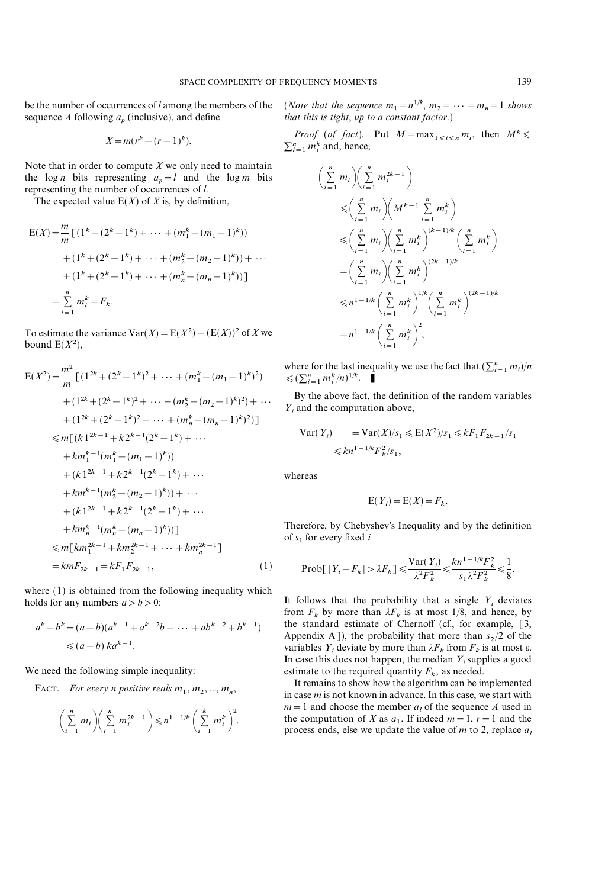be the number of occurrences of l among the members of the sequence A following  $a<sub>p</sub>$  (inclusive), and define

$$
X = m(r^k - (r-1)^k).
$$

Note that in order to compute  $X$  we only need to maintain the log *n* bits representing  $a_p = l$  and the log *m* bits representing the number of occurrences of l.

The expected value  $E(X)$  of X is, by definition,

$$
E(X) = \frac{m}{m} \left[ (1^k + (2^k - 1^k) + \dots + (m_1^k - (m_1 - 1)^k)) + (1^k + (2^k - 1^k) + \dots + (m_2^k - (m_2 - 1)^k)) + \dots + (1^k + (2^k - 1^k) + \dots + (m_n^k - (m_n - 1)^k)) \right]
$$
  
= 
$$
\sum_{i=1}^n m_i^k = F_k.
$$

To estimate the variance  $Var(X) = E(X^2) - (E(X))^2$  of X we bound  $E(X^2)$ ,

$$
E(X^{2}) = \frac{m^{2}}{m} \left[ (1^{2k} + (2^{k} - 1^{k})^{2} + \dots + (m_{1}^{k} - (m_{1} - 1)^{k})^{2}) + (1^{2k} + (2^{k} - 1^{k})^{2} + \dots + (m_{2}^{k} - (m_{2} - 1)^{k})^{2}) + \dots + (1^{2k} + (2^{k} - 1^{k})^{2} + \dots + (m_{n}^{k} - (m_{n} - 1)^{k})^{2}) \right]
$$
  
\n
$$
\leq m \left[ (k \, 1^{2k-1} + k \, 2^{k-1} (2^{k} - 1^{k}) + \dots + k m_{1}^{k-1} (m_{1}^{k} - (m_{1} - 1)^{k})) + (k \, 1^{2k-1} + k \, 2^{k-1} (2^{k} - 1^{k}) + \dots + k m_{n}^{k-1} (m_{2}^{k} - (m_{2} - 1)^{k})) + \dots + (k \, 1^{2k-1} + k \, 2^{k-1} (2^{k} - 1^{k}) + \dots + k m_{n}^{k-1} (m_{n}^{k} - (m_{n} - 1)^{k})) \right]
$$
  
\n
$$
\leq m \left[ k m_{1}^{2k-1} + k m_{2}^{2k-1} + \dots + k m_{n}^{2k-1} \right]
$$
  
\n
$$
= k m F_{2k-1} = k F_{1} F_{2k-1}, \qquad (1)
$$

where  $(1)$  is obtained from the following inequality which holds for any numbers  $a > b > 0$ :

$$
a^{k} - b^{k} = (a - b)(a^{k-1} + a^{k-2}b + \dots + ab^{k-2} + b^{k-1})
$$
  
\$\leq (a - b) ka^{k-1}\$.

We need the following simple inequality:

FACT. For every n positive reals  $m_1, m_2, ..., m_n$ ,

$$
\left(\sum_{i=1}^n m_i\right)\left(\sum_{i=1}^n m_i^{2k-1}\right)\leqslant n^{1-1/k}\left(\sum_{i=1}^k m_i^k\right)^2.
$$

(*Note that the sequence*  $m_1 = n^{1/k}$ ,  $m_2 = \cdots = m_n = 1$  shows that this is tight, up to a constant factor.)

*Proof (of fact)*. Put  $M = \max_{1 \le i \le n} m_i$ , then  $M^k \le$  $\sum_{i=1}^{n} m_i^k$  and, hence,

$$
\left(\sum_{i=1}^{n} m_i\right) \left(\sum_{i=1}^{n} m_i^{2k-1}\right)
$$
\n
$$
\leqslant \left(\sum_{i=1}^{n} m_i\right) \left(M^{k-1} \sum_{i=1}^{n} m_i^k\right)
$$
\n
$$
\leqslant \left(\sum_{i=1}^{n} m_i\right) \left(\sum_{i=1}^{n} m_i^k\right)^{(k-1)/k} \left(\sum_{i=1}^{n} m_i^k\right)
$$
\n
$$
= \left(\sum_{i=1}^{n} m_i\right) \left(\sum_{i=1}^{n} m_i^k\right)^{(2k-1)/k}
$$
\n
$$
\leqslant n^{1-1/k} \left(\sum_{i=1}^{n} m_i^k\right)^{1/k} \left(\sum_{i=1}^{n} m_i^k\right)^{(2k-1)/k}
$$
\n
$$
= n^{1-1/k} \left(\sum_{i=1}^{n} m_i^k\right)^2,
$$

where for the last inequality we use the fact that  $(\sum_{i=1}^n m_i)/n$  $\leq (\sum_{i=1}^n m_i^k/n)^{1/k}$ .

By the above fact, the definition of the random variables  $Y_i$  and the computation above,

$$
\begin{aligned} \text{Var}(Y_i) &= \text{Var}(X)/s_1 \le E(X^2)/s_1 \le kF_1F_{2k-1}/s_1\\ &\le kn^{1-1/k}F_k^2/s_1, \end{aligned}
$$

whereas

$$
\operatorname{E}(Y_i)=\operatorname{E}(X)=F_k.
$$

Therefore, by Chebyshev's Inequality and by the definition of  $s_1$  for every fixed i

$$
\text{Prob}\big[\left|Y_i - F_k\right| > \lambda F_k\big] \leq \frac{\text{Var}(Y_i)}{\lambda^2 F_k^2} \leq \frac{k n^{1 - 1/k} F_k^2}{s_1 \lambda^2 F_k^2} \leq \frac{1}{8}.
$$

It follows that the probability that a single  $Y_i$  deviates from  $F_k$  by more than  $\lambda F_k$  is at most 1/8, and hence, by the standard estimate of Chernoff (cf., for example, [3, Appendix A]), the probability that more than  $s_2/2$  of the variables  $Y_i$  deviate by more than  $\lambda F_k$  from  $F_k$  is at most  $\varepsilon$ . In case this does not happen, the median  $Y_i$  supplies a good estimate to the required quantity  $F_k$ , as needed.

It remains to show how the algorithm can be implemented in case  $m$  is not known in advance. In this case, we start with  $m=1$  and choose the member  $a<sub>l</sub>$  of the sequence A used in the computation of X as  $a_1$ . If indeed  $m=1$ ,  $r=1$  and the process ends, else we update the value of  $m$  to 2, replace  $a_l$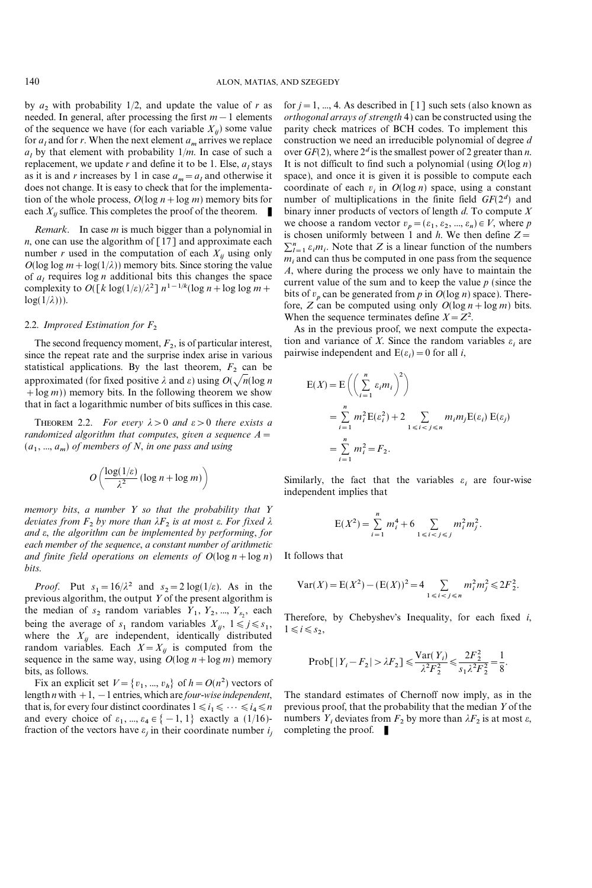by  $a_2$  with probability 1/2, and update the value of r as needed. In general, after processing the first  $m-1$  elements of the sequence we have (for each variable  $X_{ij}$ ) some value for  $a_l$  and for r. When the next element  $a_m$  arrives we replace  $a_l$  by that element with probability  $1/m$ . In case of such a replacement, we update r and define it to be 1. Else,  $a<sub>l</sub>$  stays as it is and r increases by 1 in case  $a_m = a_l$  and otherwise it does not change. It is easy to check that for the implementation of the whole process,  $O(\log n + \log m)$  memory bits for each  $X_{ij}$  suffice. This completes the proof of the theorem.

*Remark.* In case  $m$  is much bigger than a polynomial in n, one can use the algorithm of [17] and approximate each number r used in the computation of each  $X_{ij}$  using only  $O(\log \log m + \log(1/\lambda))$  memory bits. Since storing the value of  $a_l$  requires log n additional bits this changes the space complexity to  $O([k \log(1/\varepsilon)/\lambda^2] n^{1-1/k}(\log n + \log \log m +$  $log(1/\lambda))$ ).

# 2.2. Improved Estimation for  $F_2$

The second frequency moment,  $F_2$ , is of particular interest, since the repeat rate and the surprise index arise in various statistical applications. By the last theorem,  $F_2$  can be approximated (for fixed positive  $\lambda$  and  $\varepsilon$ ) using  $O(\sqrt{n(\log n)})$  $+log(m)$ ) memory bits. In the following theorem we show that in fact a logarithmic number of bits suffices in this case.

THEOREM 2.2. For every  $\lambda > 0$  and  $\varepsilon > 0$  there exists a randomized algorithm that computes, given a sequence  $A=$  $(a_1, ..., a_m)$  of members of N, in one pass and using

$$
O\left(\frac{\log(1/\varepsilon)}{\lambda^2} (\log n + \log m)\right)
$$

memory bits, a number  $Y$  so that the probability that  $Y$ deviates from  $F_2$  by more than  $\lambda F_2$  is at most  $\varepsilon$ . For fixed  $\lambda$ and  $\varepsilon$ , the algorithm can be implemented by performing, for each member of the sequence, a constant number of arithmetic and finite field operations on elements of  $O(\log n + \log n)$ bits.

*Proof.* Put  $s_1 = 16/\lambda^2$  and  $s_2 = 2 \log(1/\varepsilon)$ . As in the previous algorithm, the output Y of the present algorithm is the median of  $s_2$  random variables  $Y_1, Y_2, ..., Y_{s_2}$ , each being the average of  $s_1$  random variables  $X_{ij}$ ,  $1 \le j \le s_1$ , where the  $X_{ij}$  are independent, identically distributed random variables. Each  $X=X_{ij}$  is computed from the sequence in the same way, using  $O(\log n + \log m)$  memory bits, as follows.

Fix an explicit set  $V = \{v_1, ..., v_h\}$  of  $h = O(n^2)$  vectors of length n with  $+1$ ,  $-1$  entries, which are *four-wise independent*, that is, for every four distinct coordinates  $1 \leq i_1 \leq \cdots \leq i_4 \leq n$ and every choice of  $\varepsilon_1$ , ...,  $\varepsilon_4 \in \{-1, 1\}$  exactly a (1/16)fraction of the vectors have  $\varepsilon_j$  in their coordinate number  $i_j$  for  $j = 1, ..., 4$ . As described in [1] such sets (also known as orthogonal arrays of strength 4) can be constructed using the parity check matrices of BCH codes. To implement this construction we need an irreducible polynomial of degree d over  $GF(2)$ , where  $2<sup>d</sup>$  is the smallest power of 2 greater than *n*. It is not difficult to find such a polynomial (using  $O(\log n)$ ) space), and once it is given it is possible to compute each coordinate of each  $v_i$  in  $O(\log n)$  space, using a constant number of multiplications in the finite field  $GF(2<sup>d</sup>)$  and binary inner products of vectors of length  $d$ . To compute  $X$ we choose a random vector  $v_p = (\varepsilon_1, \varepsilon_2, ..., \varepsilon_n) \in V$ , where p is chosen uniformly between 1 and h. We then define  $Z=$  $\sum_{l=1}^{n} \varepsilon_i m_i$ . Note that Z is a linear function of the numbers  $m_i$  and can thus be computed in one pass from the sequence A, where during the process we only have to maintain the current value of the sum and to keep the value  $p$  (since the bits of  $v_p$  can be generated from p in  $O(\log n)$  space). Therefore, Z can be computed using only  $O(\log n + \log m)$  bits. When the sequence terminates define  $X = Z^2$ .

As in the previous proof, we next compute the expectation and variance of X. Since the random variables  $\varepsilon_i$  are pairwise independent and  $E(\varepsilon_i)=0$  for all *i*,

$$
E(X) = E\left(\left(\sum_{i=1}^{n} \varepsilon_{i} m_{i}\right)^{2}\right)
$$
  
= 
$$
\sum_{i=1}^{n} m_{i}^{2} E(\varepsilon_{i}^{2}) + 2 \sum_{1 \leq i < j \leq n} m_{i} m_{j} E(\varepsilon_{i}) E(\varepsilon_{j})
$$
  
= 
$$
\sum_{i=1}^{n} m_{i}^{2} = F_{2}.
$$

Similarly, the fact that the variables  $\varepsilon_i$  are four-wise independent implies that

$$
E(X^{2}) = \sum_{i=1}^{n} m_{i}^{4} + 6 \sum_{1 \leq i < j \leq j} m_{i}^{2} m_{j}^{2}.
$$

It follows that

$$
\text{Var}(X) = \mathcal{E}(X^2) - (\mathcal{E}(X))^2 = 4 \sum_{1 \le i < j \le n} m_i^2 m_j^2 \le 2F_2^2.
$$

Therefore, by Chebyshev's Inequality, for each fixed  $i$ ,  $1\leq i\leq s_2$ ,

$$
\text{Prob}[\,|Y_i - F_2| > \lambda F_2\,] \le \frac{\text{Var}(Y_i)}{\lambda^2 F_2^2} \le \frac{2F_2^2}{s_1 \lambda^2 F_2^2} = \frac{1}{8}.
$$

The standard estimates of Chernoff now imply, as in the previous proof, that the probability that the median Y of the numbers  $Y_i$  deviates from  $F_2$  by more than  $\lambda F_2$  is at most  $\varepsilon$ , completing the proof.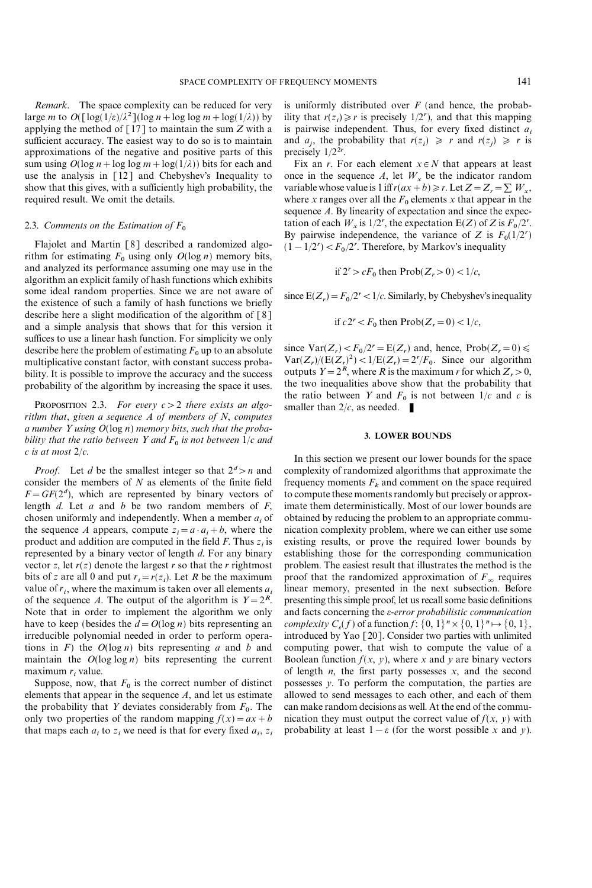Remark. The space complexity can be reduced for very large *m* to  $O(\left[\log(1/\varepsilon)/\lambda^2\right](\log n + \log \log m + \log(1/\lambda))$  by applying the method of  $[17]$  to maintain the sum Z with a sufficient accuracy. The easiest way to do so is to maintain approximations of the negative and positive parts of this sum using  $O(\log n + \log \log m + \log(1/\lambda))$  bits for each and use the analysis in [12] and Chebyshev's Inequality to show that this gives, with a sufficiently high probability, the required result. We omit the details.

# 2.3. Comments on the Estimation of  $F_0$

Flajolet and Martin [8] described a randomized algorithm for estimating  $F_0$  using only  $O(\log n)$  memory bits, and analyzed its performance assuming one may use in the algorithm an explicit family of hash functions which exhibits some ideal random properties. Since we are not aware of the existence of such a family of hash functions we briefly describe here a slight modification of the algorithm of [8] and a simple analysis that shows that for this version it suffices to use a linear hash function. For simplicity we only describe here the problem of estimating  $F_0$  up to an absolute multiplicative constant factor, with constant success probability. It is possible to improve the accuracy and the success probability of the algorithm by increasing the space it uses.

PROPOSITION 2.3. For every  $c > 2$  there exists an algorithm that, given a sequence  $\Lambda$  of members of N, computes a number Y using  $O(\log n)$  memory bits, such that the probability that the ratio between Y and  $F_0$  is not between  $1/c$  and c is at most  $2/c$ .

*Proof.* Let d be the smallest integer so that  $2^d > n$  and consider the members of  $N$  as elements of the finite field  $F = GF(2<sup>d</sup>)$ , which are represented by binary vectors of length  $d$ . Let  $a$  and  $b$  be two random members of  $F$ , chosen uniformly and independently. When a member  $a_i$  of the sequence A appears, compute  $z_i = a \cdot a_i + b$ , where the product and addition are computed in the field F. Thus  $z_i$  is represented by a binary vector of length d. For any binary vector z, let  $r(z)$  denote the largest r so that the r rightmost bits of z are all 0 and put  $r_i = r(z_i)$ . Let R be the maximum value of  $r_i$ , where the maximum is taken over all elements  $a_i$ of the sequence A. The output of the algorithm is  $Y=2^R$ . Note that in order to implement the algorithm we only have to keep (besides the  $d = O(\log n)$  bits representing an irreducible polynomial needed in order to perform operations in F) the  $O(\log n)$  bits representing a and b and maintain the  $O(\log \log n)$  bits representing the current maximum  $r_i$  value.

Suppose, now, that  $F_0$  is the correct number of distinct elements that appear in the sequence  $A$ , and let us estimate the probability that Y deviates considerably from  $F_0$ . The only two properties of the random mapping  $f(x) = ax + b$ that maps each  $a_i$  to  $z_i$  we need is that for every fixed  $a_i$ ,  $z_i$ 

is uniformly distributed over  $F$  (and hence, the probability that  $r(z_i) \ge r$  is precisely  $1/2^r$ , and that this mapping is pairwise independent. Thus, for every fixed distinct  $a_i$ and  $a_j$ , the probability that  $r(z_i) \geq r$  and  $r(z_j) \geq r$  is precisely  $1/2^{2r}$ .

Fix an r. For each element  $x \in N$  that appears at least once in the sequence A, let  $W_x$  be the indicator random variable whose value is 1 if  $r(ax + b) \ge r$ . Let  $Z = Z_r = \sum W_x$ , where x ranges over all the  $F_0$  elements x that appear in the sequence A. By linearity of expectation and since the expectation of each  $W_x$  is 1/2<sup>r</sup>, the expectation E(Z) of Z is  $F_0/2^r$ . By pairwise independence, the variance of Z is  $F_0(1/2^r)$  $(1 - 1/2^r) < F_0/2^r$ . Therefore, by Markov's inequality

if 
$$
2^r > cF_0
$$
 then  $Prob(Z_r > 0) < 1/c$ ,

since  $E(Z_r) = F_0/2^r < 1/c$ . Similarly, by Chebyshev's inequality

if 
$$
c2^r < F_0
$$
 then  $\text{Prob}(Z_r = 0) < 1/c$ ,

since  $\text{Var}(Z_r) < F_0/2^r = E(Z_r)$  and, hence,  $\text{Prob}(Z_r = 0) \le$  $Var(Z_r)/(E(Z_r)^2) < 1/E(Z_r) = 2^r/F_0$ . Since our algorithm outputs  $Y=2^R$ , where R is the maximum r for which  $Z_r>0$ , the two inequalities above show that the probability that the ratio between Y and  $F_0$  is not between  $1/c$  and c is smaller than  $2/c$ , as needed.

#### 3. LOWER BOUNDS

In this section we present our lower bounds for the space complexity of randomized algorithms that approximate the frequency moments  $F_k$  and comment on the space required to compute these moments randomly but precisely or approximate them deterministically. Most of our lower bounds are obtained by reducing the problem to an appropriate communication complexity problem, where we can either use some existing results, or prove the required lower bounds by establishing those for the corresponding communication problem. The easiest result that illustrates the method is the proof that the randomized approximation of  $F_{\infty}$  requires linear memory, presented in the next subsection. Before presenting this simple proof, let us recall some basic definitions and facts concerning the  $\varepsilon$ -error probabilistic communication *complexity*  $C_{\varepsilon}(f)$  of a function  $f: \{0, 1\}^n \times \{0, 1\}^n \mapsto \{0, 1\},$ introduced by Yao [20]. Consider two parties with unlimited computing power, that wish to compute the value of a Boolean function  $f(x, y)$ , where x and y are binary vectors of length  $n$ , the first party possesses  $x$ , and the second possesses y. To perform the computation, the parties are allowed to send messages to each other, and each of them can make random decisions as well. At the end of the communication they must output the correct value of  $f(x, y)$  with probability at least  $1-\varepsilon$  (for the worst possible x and y).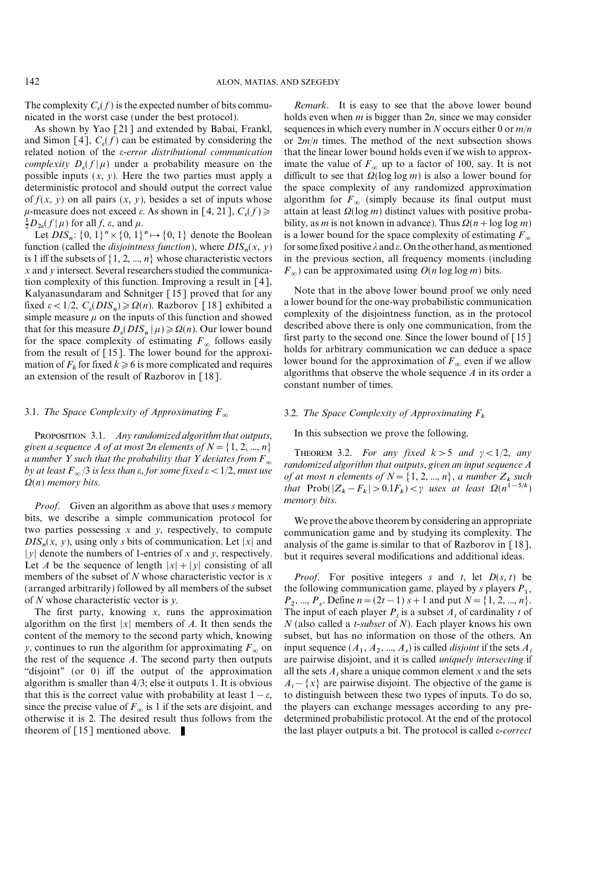The complexity  $C_{\varepsilon}(f)$  is the expected number of bits communicated in the worst case (under the best protocol).

As shown by Yao [21] and extended by Babai, Frankl, and Simon [4],  $C_e(f)$  can be estimated by considering the related notion of the  $\varepsilon$ -error distributional communication *complexity*  $D_{\varepsilon}(f|\mu)$  under a probability measure on the possible inputs  $(x, y)$ . Here the two parties must apply a deterministic protocol and should output the correct value of  $f(x, y)$  on all pairs  $(x, y)$ , besides a set of inputs whose  $\mu$ -measure does not exceed  $\varepsilon$ . As shown in [4, 21],  $C_{\varepsilon}(f) \geq$  $\frac{1}{2}D_{2\epsilon}(f|\mu)$  for all f,  $\epsilon$ , and  $\mu$ .

Let  $DIS_n$ :  $\{0, 1\}^n \times \{0, 1\}^n \mapsto \{0, 1\}$  denote the Boolean function (called the *disjointness function*), where  $DIS_n(x, y)$ is 1 iff the subsets of  $\{1, 2, ..., n\}$  whose characteristic vectors  $x$  and  $y$  intersect. Several researchers studied the communication complexity of this function. Improving a result in [4], Kalyanasundaram and Schnitger [15] proved that for any fixed  $\epsilon < 1/2$ ,  $C_{\epsilon}(DIS_n) \ge \Omega(n)$ . Razborov [18] exhibited a simple measure  $\mu$  on the inputs of this function and showed that for this measure  $D_e(DIS_n | \mu) \ge \Omega(n)$ . Our lower bound for the space complexity of estimating  $F_{\infty}$  follows easily from the result of  $[15]$ . The lower bound for the approximation of  $F_k$  for fixed  $k \geq 6$  is more complicated and requires an extension of the result of Razborov in [18].

# 3.1. The Space Complexity of Approximating  $F_{\infty}$

PROPOSITION 3.1. Any randomized algorithm that outputs, given a sequence A of at most 2n elements of  $N = \{1, 2, ..., n\}$ a number Y such that the probability that Y deviates from  $F_{\infty}$ by at least  $F_{\infty}/3$  is less than  $\varepsilon$ , for some fixed  $\varepsilon$  < 1/2, must use  $\Omega(n)$  memory bits.

*Proof.* Given an algorithm as above that uses s memory bits, we describe a simple communication protocol for two parties possessing  $x$  and  $y$ , respectively, to compute  $DIS_n(x, y)$ , using only s bits of communication. Let |x| and  $|y|$  denote the numbers of 1-entries of x and y, respectively. Let A be the sequence of length  $|x| + |y|$  consisting of all members of the subset of  $N$  whose characteristic vector is  $x$ (arranged arbitrarily) followed by all members of the subset of N whose characteristic vector is y.

The first party, knowing  $x$ , runs the approximation algorithm on the first |x| members of A. It then sends the content of the memory to the second party which, knowing y, continues to run the algorithm for approximating  $F_{\infty}$  on the rest of the sequence  $A$ . The second party then outputs ``disjoint'' (or 0) iff the output of the approximation algorithm is smaller than  $4/3$ ; else it outputs 1. It is obvious that this is the correct value with probability at least  $1-\varepsilon$ , since the precise value of  $F_{\infty}$  is 1 if the sets are disjoint, and otherwise it is 2. The desired result thus follows from the theorem of  $[15]$  mentioned above.

Remark. It is easy to see that the above lower bound holds even when  $m$  is bigger than  $2n$ , since we may consider sequences in which every number in N occurs either 0 or  $m/n$ or  $2m/n$  times. The method of the next subsection shows that the linear lower bound holds even if we wish to approximate the value of  $F_{\infty}$  up to a factor of 100, say. It is not difficult to see that  $\Omega(\log \log m)$  is also a lower bound for the space complexity of any randomized approximation algorithm for  $F_{\infty}$  (simply because its final output must attain at least  $\Omega(\log m)$  distinct values with positive probability, as *m* is not known in advance). Thus  $\Omega(n + \log \log m)$ is a lower bound for the space complexity of estimating  $F_{\infty}$ for some fixed positive  $\lambda$  and  $\varepsilon$ . On the other hand, as mentioned in the previous section, all frequency moments (including  $F_{\infty}$ ) can be approximated using  $O(n \log \log m)$  bits.

Note that in the above lower bound proof we only need a lower bound for the one-way probabilistic communication complexity of the disjointness function, as in the protocol described above there is only one communication, from the first party to the second one. Since the lower bound of  $\lceil 15 \rceil$ holds for arbitrary communication we can deduce a space lower bound for the approximation of  $F_{\infty}$  even if we allow algorithms that observe the whole sequence  $A$  in its order a constant number of times.

# 3.2. The Space Complexity of Approximating  $F_k$

In this subsection we prove the following.

THEOREM 3.2. For any fixed  $k > 5$  and  $\gamma < 1/2$ , any randomized algorithm that outputs, given an input sequence A of at most n elements of  $N = \{1, 2, ..., n\}$ , a number  $Z_k$  such that  $\text{Prob}(|Z_k-F_k|>0.1F_k)<\gamma$  uses at least  $\Omega(n^{1-5/k})$ memory bits.

We prove the above theorem by considering an appropriate communication game and by studying its complexity. The analysis of the game is similar to that of Razborov in  $[18]$ , but it requires several modifications and additional ideas.

*Proof.* For positive integers s and t, let  $D(s, t)$  be the following communication game, played by s players  $P_1$ ,  $P_2, ..., P_s$ . Define  $n=(2t-1)$  s + 1 and put  $N=\{1, 2, ..., n\}.$ The input of each player  $P_i$  is a subset  $A_i$  of cardinality t of  $N$  (also called a *t-subset* of  $N$ ). Each player knows his own subset, but has no information on those of the others. An input sequence  $(A_1, A_2, ..., A_s)$  is called *disjoint* if the sets  $A_i$ are pairwise disjoint, and it is called uniquely intersecting if all the sets  $A_i$  share a unique common element x and the sets  $A_i - \{x\}$  are pairwise disjoint. The objective of the game is to distinguish between these two types of inputs. To do so, the players can exchange messages according to any predetermined probabilistic protocol. At the end of the protocol the last player outputs a bit. The protocol is called  $\varepsilon$ -correct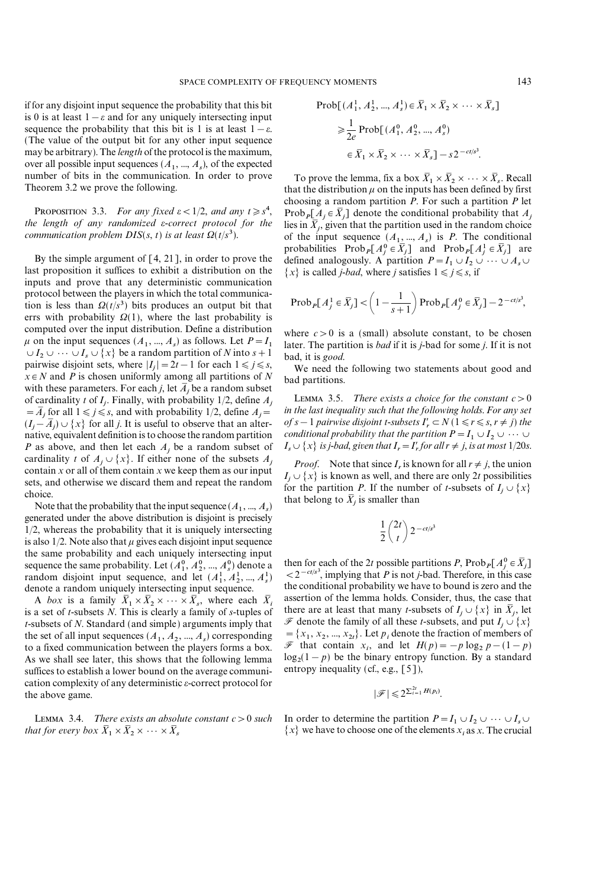if for any disjoint input sequence the probability that this bit is 0 is at least  $1 - \varepsilon$  and for any uniquely intersecting input sequence the probability that this bit is 1 is at least  $1-\varepsilon$ . (The value of the output bit for any other input sequence may be arbitrary). The *length* of the protocol is the maximum, over all possible input sequences  $(A_1, ..., A_s)$ , of the expected number of bits in the communication. In order to prove Theorem 3.2 we prove the following.

PROPOSITION 3.3. For any fixed  $\epsilon < 1/2$ , and any  $t \geq s^4$ , the length of any randomized  $\varepsilon$ -correct protocol for the communication problem  $DIS(s, t)$  is at least  $\Omega(t/s^3)$ .

By the simple argument of  $[4, 21]$ , in order to prove the last proposition it suffices to exhibit a distribution on the inputs and prove that any deterministic communication protocol between the players in which the total communication is less than  $\Omega(t/s^3)$  bits produces an output bit that errs with probability  $\Omega(1)$ , where the last probability is computed over the input distribution. Define a distribution  $\mu$  on the input sequences  $(A_1, ..., A_s)$  as follows. Let  $P = I_1$  $\cup I_2 \cup \cdots \cup I_s \cup \{x\}$  be a random partition of N into  $s+1$ pairwise disjoint sets, where  $|I_i| = 2t-1$  for each  $1 \le j \le s$ ,  $x \in N$  and P is chosen uniformly among all partitions of N with these parameters. For each j, let  $A_i$  be a random subset of cardinality t of  $I_i$ . Finally, with probability 1/2, define  $A_i$  $=$  A<sub>j</sub> for all  $1 \le j \le s$ , and with probability 1/2, define  $A_j =$  $(I_i - \overline{A}_i) \cup \{x\}$  for all j. It is useful to observe that an alternative, equivalent definition is to choose the random partition P as above, and then let each  $A_i$  be a random subset of cardinality t of  $A_i \cup \{x\}$ . If either none of the subsets  $A_i$ contain x or all of them contain x we keep them as our input sets, and otherwise we discard them and repeat the random choice.

Note that the probability that the input sequence  $(A_1, ..., A_s)$ generated under the above distribution is disjoint is precisely 12, whereas the probability that it is uniquely intersecting is also  $1/2$ . Note also that  $\mu$  gives each disjoint input sequence the same probability and each uniquely intersecting input sequence the same probability. Let  $(A_1^0, A_2^0, ..., A_s^0)$  denote a random disjoint input sequence, and let  $(A_1^1, A_2^1, ..., A_s^1)$ denote a random uniquely intersecting input sequence.

A box is a family  $X_1 \times X_2 \times \cdots \times X_s$ , where each  $X_i$ is a set of  $t$ -subsets  $N$ . This is clearly a family of  $s$ -tuples of t-subsets of N. Standard (and simple) arguments imply that the set of all input sequences  $(A_1, A_2, ..., A_s)$  corresponding to a fixed communication between the players forms a box. As we shall see later, this shows that the following lemma suffices to establish a lower bound on the average communication complexity of any deterministic  $\varepsilon$ -correct protocol for the above game.

LEMMA 3.4. There exists an absolute constant  $c > 0$  such that for every box  $\overline{X}_1 \times \overline{X}_2 \times \cdots \times \overline{X}_s$ 

$$
\text{Prob}\big[ (A_1^1, A_2^1, ..., A_s^1) \in \bar{X}_1 \times \bar{X}_2 \times \dots \times \bar{X}_s \big] \\
\geq \frac{1}{2e} \text{Prob}\big[ (A_1^0, A_2^0, ..., A_s^0) \\
\in \bar{X}_1 \times \bar{X}_2 \times \dots \times \bar{X}_s \big] - s 2^{-ct/s^3}.
$$

To prove the lemma, fix a box  $\bar{X}_1 \times \bar{X}_2 \times \cdots \times \bar{X}_s$ . Recall that the distribution  $\mu$  on the inputs has been defined by first choosing a random partition  $P$ . For such a partition  $P$  let Prob<sub>P</sub>[ $A_j \in X_j$ ] denote the conditional probability that  $A_j$ lies in  $\overline{X}_i$ , given that the partition used in the random choice of the input sequence  $(A_1, ..., A_s)$  is P. The conditional probabilities  $\text{Prob}_P[A_j^0 \in \overline{X}_j]$  and  $\text{Prob}_P[A_j^1 \in \overline{X}_j]$  are defined analogously. A partition  $P = I_1 \cup I_2 \cup \cdots \cup A_s \cup$  $\{x\}$  is called *j*-bad, where *j* satisfies  $1 \leq j \leq s$ , if

$$
\operatorname{Prob}_P[A_j^1 \in \overline{X}_j] < \left(1 - \frac{1}{s+1}\right) \operatorname{Prob}_P[A_j^0 \in \overline{X}_j] - 2^{-ct/s^3},
$$

where  $c>0$  is a (small) absolute constant, to be chosen later. The partition is *bad* if it is *j*-bad for some *j*. If it is not bad, it is good.

We need the following two statements about good and bad partitions.

LEMMA 3.5. There exists a choice for the constant  $c > 0$ in the last inequality such that the following holds. For any set of  $s-1$  pairwise disjoint t-subsets  $I'_r \subset N$   $(1 \leq r \leq s, r \neq j)$  the conditional probability that the partition  $P = I_1 \cup I_2 \cup \cdots \cup I_n$  $I_s \cup \{x\}$  is j-bad, given that  $I_r = I'_r$  for all  $r \neq j$ , is at most 1/20s.

*Proof.* Note that since  $I_r$  is known for all  $r \neq j$ , the union  $I_i \cup \{x\}$  is known as well, and there are only 2t possibilities for the partition P. If the number of *t*-subsets of  $I_i \cup \{x\}$ that belong to  $\overline{X}_i$  is smaller than

$$
\frac{1}{2}\binom{2t}{t}2^{-ct/s^3}
$$

then for each of the 2t possible partitions P,  $\text{Prob}_P[A_j^0 \in \overline{X}_j]$  $\langle 2^{-ct/s^3}$ , implying that P is not *j*-bad. Therefore, in this case the conditional probability we have to bound is zero and the assertion of the lemma holds. Consider, thus, the case that there are at least that many *t*-subsets of  $I_i \cup \{x\}$  in  $\overline{X}_i$ , let  $\mathscr F$  denote the family of all these *t*-subsets, and put  $I_i \cup \{x\}$  $=\{x_1, x_2, ..., x_{2t}\}.$  Let  $p_i$  denote the fraction of members of F that contain  $x_i$ , and let  $H(p) = -p \log_2 p - (1-p)$  $log_2(1-p)$  be the binary entropy function. By a standard entropy inequality (cf., e.g., [5]),

$$
|\mathscr{F}| \leq 2^{\sum_{i=1}^{2t} H(p_i)}.
$$

In order to determine the partition  $P = I_1 \cup I_2 \cup \cdots \cup I_s \cup$  $\{x\}$  we have to choose one of the elements  $x_i$  as x. The crucial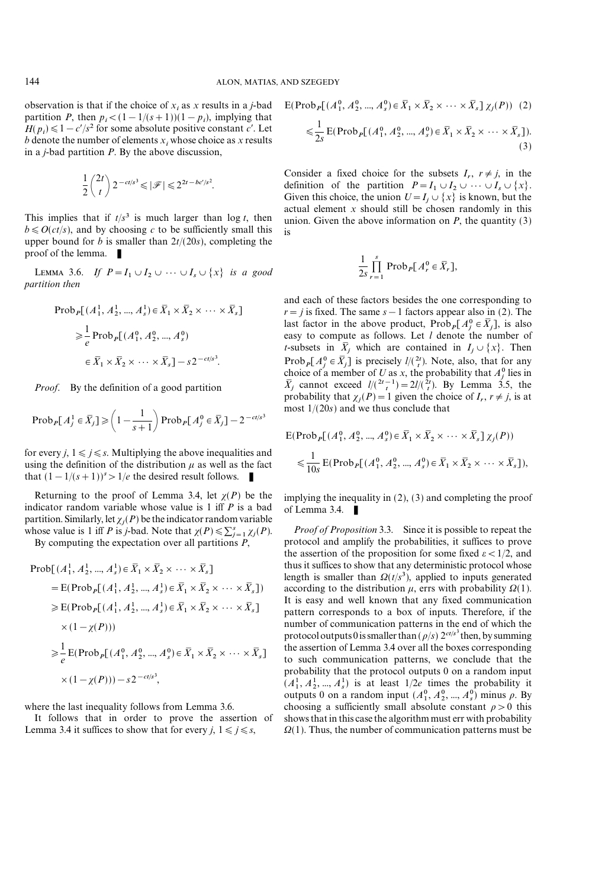observation is that if the choice of  $x_i$  as x results in a j-bad partition P, then  $p_i < (1 - 1/(s+1))(1 - p_i)$ , implying that  $H(p_i) \leq 1-c'/s^2$  for some absolute positive constant c'. Let b denote the number of elements  $x_i$ , whose choice as x results in a  $i$ -bad partition  $P$ . By the above discussion,

$$
\frac{1}{2}\binom{2t}{t}2^{-ct/s^3}\leqslant |\mathcal{F}|\leqslant 2^{2t-bc'/s^2}.
$$

This implies that if  $t/s^3$  is much larger than log t, then  $b \le O(ct/s)$ , and by choosing c to be sufficiently small this upper bound for b is smaller than  $2t/(20s)$ , completing the proof of the lemma.  $\blacksquare$ 

LEMMA 3.6. If  $P = I_1 \cup I_2 \cup \cdots \cup I_s \cup \{x\}$  is a good partition then

$$
\text{Prob}_P[(A_1^1, A_2^1, ..., A_s^1) \in \bar{X}_1 \times \bar{X}_2 \times \dots \times \bar{X}_s]
$$
\n
$$
\geq \frac{1}{e} \text{Prob}_P[(A_1^0, A_2^0, ..., A_s^0)
$$
\n
$$
\in \bar{X}_1 \times \bar{X}_2 \times \dots \times \bar{X}_s] - s2^{-ct/s^3}.
$$

Proof. By the definition of a good partition

$$
\operatorname{Prob}_{P}[\,A_{j}^{1} \in \overline{X}_{j}\,] \geqslant \left(1 - \frac{1}{s+1}\right) \operatorname{Prob}_{P}[\,A_{j}^{0} \in \overline{X}_{j}\,] - 2^{-ct/s^{3}}
$$

for every j,  $1 \leq j \leq s$ . Multiplying the above inequalities and using the definition of the distribution  $\mu$  as well as the fact that  $(1 - 1/(s + 1))^s > 1/e$  the desired result follows.

Returning to the proof of Lemma 3.4, let  $\chi(P)$  be the indicator random variable whose value is 1 iff P is a bad partition. Similarly, let  $\chi_i(P)$  be the indicator random variable whose value is 1 iff P is j-bad. Note that  $\chi(P) \leq \sum_{j=1}^{s} \chi_j(P)$ .

By computing the expectation over all partitions  $P$ ,

Prob[ (A<sub>1</sub><sup>1</sup>, A<sub>2</sub><sup>1</sup>, ..., A<sub>s</sub><sup>1</sup>) ∈ 
$$
\overline{X}_1 \times \overline{X}_2 \times \cdots \times \overline{X}_s
$$
]  
= E(Prob<sub>P</sub>[(A<sub>1</sub><sup>1</sup>, A<sub>2</sub><sup>1</sup>, ..., A<sub>s</sub><sup>1</sup>) ∈  $\overline{X}_1 \times \overline{X}_2 \times \cdots \times \overline{X}_s$ ])  
≥ E(Prob<sub>P</sub>[(A<sub>1</sub><sup>1</sup>, A<sub>2</sub><sup>1</sup>, ..., A<sub>s</sub><sup>1</sup>) ∈  $\overline{X}_1 \times \overline{X}_2 \times \cdots \times \overline{X}_s$ ]  
×(1−χ(P)))  
≥ $\frac{1}{e}$ E(Prob<sub>P</sub>[(A<sub>1</sub><sup>0</sup>, A<sub>2</sub><sup>0</sup>, ..., A<sub>s</sub><sup>0</sup>) ∈  $\overline{X}_1 \times \overline{X}_2 \times \cdots \times \overline{X}_s$ ]  
×(1−χ(P))) − s2<sup>-ct/s<sup>3</sup></sup>,

where the last inequality follows from Lemma 3.6.

It follows that in order to prove the assertion of Lemma 3.4 it suffices to show that for every j,  $1 \le j \le s$ ,

$$
E(\text{Prob}_P[(A_1^0, A_2^0, ..., A_s^0) \in \overline{X}_1 \times \overline{X}_2 \times \cdots \times \overline{X}_s] \chi_j(P)) \tag{2}
$$
  
\$\leq \frac{1}{2s} E(\text{Prob}\_P[(A\_1^0, A\_2^0, ..., A\_s^0) \in \overline{X}\_1 \times \overline{X}\_2 \times \cdots \times \overline{X}\_s]].\$ (3)

Consider a fixed choice for the subsets  $I_r$ ,  $r \neq j$ , in the definition of the partition  $P = I_1 \cup I_2 \cup \cdots \cup I_s \cup \{x\}.$ Given this choice, the union  $U = I_i \cup \{x\}$  is known, but the actual element  $x$  should still be chosen randomly in this union. Given the above information on  $P$ , the quantity  $(3)$ is

$$
\frac{1}{2s} \prod_{r=1}^{s} \operatorname{Prob}_P[A_r^0 \in \overline{X}_r],
$$

and each of these factors besides the one corresponding to  $r = i$  is fixed. The same  $s - 1$  factors appear also in (2). The last factor in the above product,  $\text{Prob}_P[A_j^0 \in \overline{X}_j]$ , is also easy to compute as follows. Let *l* denote the number of *t*-subsets in  $\overline{X}_i$  which are contained in  $I_i \cup \{x\}$ . Then Prob<sub>P</sub>[ $A_j^0 \in \overline{X}_j$ ] is precisely  $l/(2t)$ . Note, also, that for any choice of a member of U as x, the probability that  $A_j^0$  lies in  $\bar{X}_j$  cannot exceed  $l/(2t-1) = 2l/(2t)$ . By Lemma 3.5, the probability that  $\chi_i(P)=1$  given the choice of  $I_r$ ,  $r \neq j$ , is at most  $1/(20s)$  and we thus conclude that

$$
\begin{aligned} \n\mathcal{E}(\text{Prob}_P[(A_1^0, A_2^0, ..., A_s^0) \in \bar{X}_1 \times \bar{X}_2 \times \cdots \times \bar{X}_s] \chi_j(P)) \\ \n&\leq \frac{1}{10s} \mathcal{E}(\text{Prob}_P[(A_1^0, A_2^0, ..., A_s^0) \in \bar{X}_1 \times \bar{X}_2 \times \cdots \times \bar{X}_s]), \n\end{aligned}
$$

implying the inequality in (2), (3) and completing the proof of Lemma 3.4.  $\blacksquare$ 

Proof of Proposition 3.3. Since it is possible to repeat the protocol and amplify the probabilities, it suffices to prove the assertion of the proposition for some fixed  $\varepsilon < 1/2$ , and thus it suffices to show that any deterministic protocol whose length is smaller than  $\Omega(t/s^3)$ , applied to inputs generated according to the distribution  $\mu$ , errs with probability  $\Omega(1)$ . It is easy and well known that any fixed communication pattern corresponds to a box of inputs. Therefore, if the number of communication patterns in the end of which the protocol outputs 0 is smaller than ( $\rho/s$ )  $2^{ct/s^3}$  then, by summing the assertion of Lemma 3.4 over all the boxes corresponding to such communication patterns, we conclude that the probability that the protocol outputs 0 on a random input  $(A_1^1, A_2^1, ..., A_s^1)$  is at least  $1/2e$  times the probability it outputs 0 on a random input  $(A_1^0, A_2^0, ..., A_s^0)$  minus  $\rho$ . By choosing a sufficiently small absolute constant  $\rho > 0$  this shows that in this case the algorithm must err with probability  $\Omega(1)$ . Thus, the number of communication patterns must be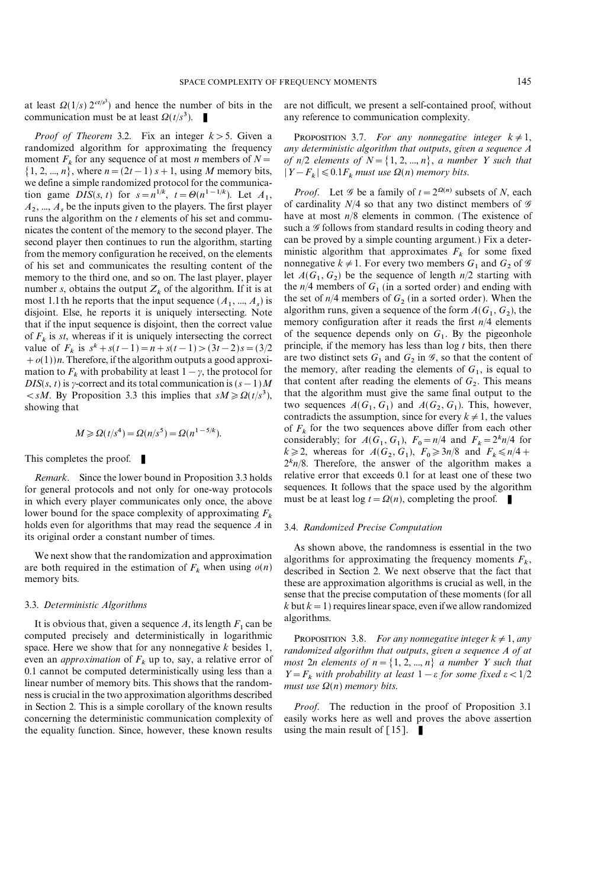at least  $\Omega(1/s) 2^{ct/s^3}$  and hence the number of bits in the communication must be at least  $\Omega(t/s^3)$ .

*Proof of Theorem 3.2.* Fix an integer  $k > 5$ . Given a randomized algorithm for approximating the frequency moment  $F_k$  for any sequence of at most *n* members of  $N=$  $\{1, 2, ..., n\}$ , where  $n = (2t-1) s + 1$ , using M memory bits, we define a simple randomized protocol for the communication game  $DIS(s, t)$  for  $s=n^{1/k}$ ,  $t=\Theta(n^{1-1/k})$ . Let  $A_1$ ,  $A_2$ , ...,  $A_s$  be the inputs given to the players. The first player runs the algorithm on the  $t$  elements of his set and communicates the content of the memory to the second player. The second player then continues to run the algorithm, starting from the memory configuration he received, on the elements of his set and communicates the resulting content of the memory to the third one, and so on. The last player, player number s, obtains the output  $Z_k$  of the algorithm. If it is at most 1.1 th he reports that the input sequence  $(A_1, ..., A_s)$  is disjoint. Else, he reports it is uniquely intersecting. Note that if the input sequence is disjoint, then the correct value of  $F_k$  is st, whereas if it is uniquely intersecting the correct value of  $F_k$  is  $s^k + s(t-1) = n + s(t-1) > (3t-2)s = (3/2)$  $+o(1)$ )n. Therefore, if the algorithm outputs a good approximation to  $F_k$  with probability at least  $1-\gamma$ , the protocol for  $DIS(s, t)$  is y-correct and its total communication is  $(s-1)M$  $\langle sM. By$  Proposition 3.3 this implies that  $sM \ge \Omega(t/s^3)$ , showing that

$$
M \ge \Omega(t/s^4) = \Omega(n/s^5) = \Omega(n^{1-5/k}).
$$

This completes the proof.  $\blacksquare$ 

Remark. Since the lower bound in Proposition 3.3 holds for general protocols and not only for one-way protocols in which every player communicates only once, the above lower bound for the space complexity of approximating  $F_k$ holds even for algorithms that may read the sequence A in its original order a constant number of times.

We next show that the randomization and approximation are both required in the estimation of  $F_k$  when using  $o(n)$ memory bits.

### 3.3. Deterministic Algorithms

It is obvious that, given a sequence A, its length  $F_1$  can be computed precisely and deterministically in logarithmic space. Here we show that for any nonnegative  $k$  besides 1, even an *approximation* of  $F_k$  up to, say, a relative error of 0.1 cannot be computed deterministically using less than a linear number of memory bits. This shows that the randomness is crucial in the two approximation algorithms described in Section 2. This is a simple corollary of the known results concerning the deterministic communication complexity of the equality function. Since, however, these known results

are not difficult, we present a self-contained proof, without any reference to communication complexity.

PROPOSITION 3.7. For any nonnegative integer  $k \neq 1$ , any deterministic algorithm that outputs, given a sequence A of  $n/2$  elements of  $N = \{1, 2, ..., n\}$ , a number Y such that  $|Y-F_k| \leq 0.1F_k$  must use  $\Omega(n)$  memory bits.

*Proof.* Let  $\mathscr G$  be a family of  $t=2^{\Omega(n)}$  subsets of N, each of cardinality  $N/4$  so that any two distinct members of  $\mathscr G$ have at most  $n/8$  elements in common. (The existence of such a  $\mathscr G$  follows from standard results in coding theory and can be proved by a simple counting argument.) Fix a deterministic algorithm that approximates  $F_k$  for some fixed nonnegative  $k \neq 1$ . For every two members  $G_1$  and  $G_2$  of  $\mathscr G$ let  $A(G_1, G_2)$  be the sequence of length  $n/2$  starting with the  $n/4$  members of  $G_1$  (in a sorted order) and ending with the set of  $n/4$  members of  $G_2$  (in a sorted order). When the algorithm runs, given a sequence of the form  $A(G_1, G_2)$ , the memory configuration after it reads the first  $n/4$  elements of the sequence depends only on  $G_1$ . By the pigeonhole principle, if the memory has less than  $\log t$  bits, then there are two distinct sets  $G_1$  and  $G_2$  in  $\mathscr{G}$ , so that the content of the memory, after reading the elements of  $G_1$ , is equal to that content after reading the elements of  $G_2$ . This means that the algorithm must give the same final output to the two sequences  $A(G_1, G_1)$  and  $A(G_2, G_1)$ . This, however, contradicts the assumption, since for every  $k \neq 1$ , the values of  $F_k$  for the two sequences above differ from each other considerably; for  $A(G_1, G_1)$ ,  $F_0 = n/4$  and  $F_k = 2^k n/4$  for  $k \geq 2$ , whereas for  $A(G_2, G_1)$ ,  $F_0 \geq 3n/8$  and  $F_k \leq n/4+$  $2<sup>k</sup>n/8$ . Therefore, the answer of the algorithm makes a relative error that exceeds 0.1 for at least one of these two sequences. It follows that the space used by the algorithm must be at least log  $t = \Omega(n)$ , completing the proof.

## 3.4. Randomized Precise Computation

As shown above, the randomness is essential in the two algorithms for approximating the frequency moments  $F_k$ , described in Section 2. We next observe that the fact that these are approximation algorithms is crucial as well, in the sense that the precise computation of these moments (for all k but  $k=1$ ) requires linear space, even if we allow randomized algorithms.

PROPOSITION 3.8. For any nonnegative integer  $k \neq 1$ , any randomized algorithm that outputs, given a sequence A of at most 2n elements of  $n = \{1, 2, ..., n\}$  a number Y such that  $Y = F_k$  with probability at least  $1 - \varepsilon$  for some fixed  $\varepsilon < 1/2$ must use  $\Omega(n)$  memory bits.

Proof. The reduction in the proof of Proposition 3.1 easily works here as well and proves the above assertion using the main result of  $[15]$ .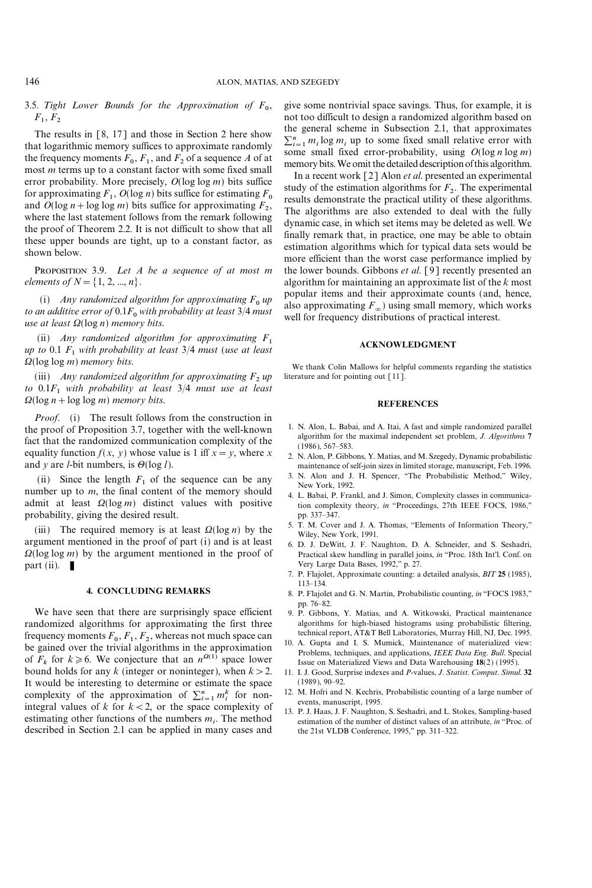3.5. Tight Lower Bounds for the Approximation of  $F_0$ ,  $F_1, F_2$ 

The results in [8, 17] and those in Section 2 here show that logarithmic memory suffices to approximate randomly the frequency moments  $F_0$ ,  $F_1$ , and  $F_2$  of a sequence A of at most *m* terms up to a constant factor with some fixed small error probability. More precisely,  $O(\log \log m)$  bits suffice for approximating  $F_1$ ,  $O(\log n)$  bits suffice for estimating  $F_0$ and  $O(\log n + \log \log m)$  bits suffice for approximating  $F_2$ , where the last statement follows from the remark following the proof of Theorem 2.2. It is not difficult to show that all these upper bounds are tight, up to a constant factor, as shown below.

PROPOSITION 3.9. Let  $A$  be a sequence of at most m elements of  $N = \{1, 2, ..., n\}.$ 

(i) Any randomized algorithm for approximating  $F_0$  up to an additive error of  $0.1F_{0}$  with probability at least 3/4 must use at least  $\Omega(\log n)$  memory bits.

(ii) Any randomized algorithm for approximating  $F_1$ up to 0.1  $F_1$  with probability at least 3/4 must (use at least  $\Omega(\log \log m)$  memory bits.

(iii) Any randomized algorithm for approximating  $F_2$  up to  $0.1F_1$  with probability at least  $3/4$  must use at least  $\Omega(\log n + \log \log m)$  memory bits.

Proof. (i) The result follows from the construction in the proof of Proposition 3.7, together with the well-known fact that the randomized communication complexity of the equality function  $f(x, y)$  whose value is 1 iff  $x = y$ , where x and y are *l*-bit numbers, is  $\Theta(\log l)$ .

(ii) Since the length  $F_1$  of the sequence can be any number up to  $m$ , the final content of the memory should admit at least  $\Omega(\log m)$  distinct values with positive probability, giving the desired result.

(iii) The required memory is at least  $\Omega(\log n)$  by the argument mentioned in the proof of part (i) and is at least  $\Omega(\log \log m)$  by the argument mentioned in the proof of part (ii).  $\blacksquare$ 

#### 4. CONCLUDING REMARKS

We have seen that there are surprisingly space efficient randomized algorithms for approximating the first three frequency moments  $F_0, F_1, F_2$ , whereas not much space can be gained over the trivial algorithms in the approximation of  $F_k$  for  $k \ge 6$ . We conjecture that an  $n^{\Omega(1)}$  space lower bound holds for any k (integer or noninteger), when  $k > 2$ . It would be interesting to determine or estimate the space complexity of the approximation of  $\sum_{i=1}^{n} m_i^k$  for nonintegral values of k for  $k < 2$ , or the space complexity of estimating other functions of the numbers  $m_i$ . The method described in Section 2.1 can be applied in many cases and

give some nontrivial space savings. Thus, for example, it is not too difficult to design a randomized algorithm based on the general scheme in Subsection 2.1, that approximates  $\sum_{i=1}^{n} m_i \log m_i$  up to some fixed small relative error with some small fixed error-probability, using  $O(\log n \log m)$ memory bits. We omit the detailed description of this algorithm.

In a recent work [2] Alon *et al.* presented an experimental study of the estimation algorithms for  $F_2$ . The experimental results demonstrate the practical utility of these algorithms. The algorithms are also extended to deal with the fully dynamic case, in which set items may be deleted as well. We finally remark that, in practice, one may be able to obtain estimation algorithms which for typical data sets would be more efficient than the worst case performance implied by the lower bounds. Gibbons  $et$  al. [9] recently presented an algorithm for maintaining an approximate list of the  $k$  most popular items and their approximate counts (and, hence, also approximating  $F_{\infty}$ ) using small memory, which works well for frequency distributions of practical interest.

#### ACKNOWLEDGMENT

We thank Colin Mallows for helpful comments regarding the statistics literature and for pointing out [11].

#### **REFERENCES**

- 1. N. Alon, L. Babai, and A. Itai, A fast and simple randomized parallel algorithm for the maximal independent set problem, J. Algorithms 7  $(1986)$ , 567-583.
- 2. N. Alon, P. Gibbons, Y. Matias, and M. Szegedy, Dynamic probabilistic maintenance of self-join sizes in limited storage, manuscript, Feb. 1996.
- 3. N. Alon and J. H. Spencer, "The Probabilistic Method," Wiley, New York, 1992.
- 4. L. Babai, P. Frankl, and J. Simon, Complexity classes in communication complexity theory, in "Proceedings, 27th IEEE FOCS, 1986," pp. 337-347.
- 5. T. M. Cover and J. A. Thomas, "Elements of Information Theory," Wiley, New York, 1991.
- 6. D. J. DeWitt, J. F. Naughton, D. A. Schneider, and S. Seshadri, Practical skew handling in parallel joins, in "Proc. 18th Int'l. Conf. on Very Large Data Bases, 1992,'' p. 27.
- 7. P. Flajolet, Approximate counting: a detailed analysis, BIT 25 (1985), 113-134.
- 8. P. Flajolet and G. N. Martin, Probabilistic counting, in "FOCS 1983," pp. 76-82.
- 9. P. Gibbons, Y. Matias, and A. Witkowski, Practical maintenance algorithms for high-biased histograms using probabilistic filtering, technical report, AT&T Bell Laboratories, Murray Hill, NJ, Dec. 1995.
- 10. A. Gupta and I. S. Mumick, Maintenance of materialized view: Problems, techniques, and applications, IEEE Data Eng. Bull. Special Issue on Materialized Views and Data Warehousing 18(2) (1995).
- 11. I. J. Good, Surprise indexes and P-values, J. Statist. Comput. Simul. 32  $(1989), 90 - 92.$
- 12. M. Hofri and N. Kechris, Probabilistic counting of a large number of events, manuscript, 1995.
- 13. P. J. Haas, J. F. Naughton, S. Seshadri, and L. Stokes, Sampling-based estimation of the number of distinct values of an attribute, in "Proc. of the 21st VLDB Conference, 1995," pp. 311-322.